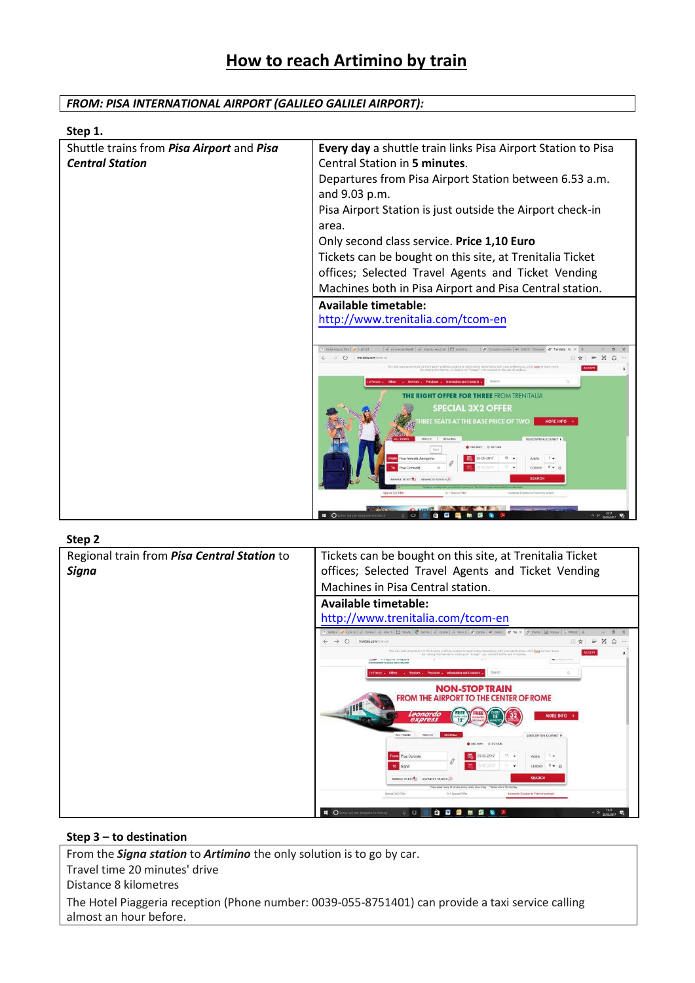## *FROM: PISA INTERNATIONAL AIRPORT (GALILEO GALILEI AIRPORT):*

| Step 1.                                   |                                                                        |
|-------------------------------------------|------------------------------------------------------------------------|
| Shuttle trains from Pisa Airport and Pisa | Every day a shuttle train links Pisa Airport Station to Pisa           |
| <b>Central Station</b>                    | Central Station in 5 minutes.                                          |
|                                           | Departures from Pisa Airport Station between 6.53 a.m.                 |
|                                           | and 9.03 p.m.                                                          |
|                                           | Pisa Airport Station is just outside the Airport check-in              |
|                                           | area.                                                                  |
|                                           | Only second class service. Price 1,10 Euro                             |
|                                           | Tickets can be bought on this site, at Trenitalia Ticket               |
|                                           | offices; Selected Travel Agents and Ticket Vending                     |
|                                           | Machines both in Pisa Airport and Pisa Central station.                |
|                                           | <b>Available timetable:</b>                                            |
|                                           | http://www.trenitalia.com/tcom-en                                      |
|                                           |                                                                        |
|                                           | $\equiv$ Z $\Omega$<br>C trenitalia.com                                |
|                                           |                                                                        |
|                                           |                                                                        |
|                                           | <b>GHT OFFER FOR THREE FROM TRENITALIA</b><br><b>SPECIAL 3X2 OFFER</b> |
|                                           | <b>E SEATS AT THE BASE PRICE OF TWO</b><br><b>MORE INFO</b>            |
|                                           | THE REPORT & REPORTS                                                   |
|                                           | ONE WAY : 45 RETURN                                                    |
|                                           | Children<br>$0 - a$                                                    |
|                                           | <b>SEARCI</b>                                                          |
|                                           | Special 3x2 Office                                                     |
|                                           | $\wedge$ Qx 1057<br>O Scrivi qui per es<br>m                           |

#### **Step 2**

| しいレ ム                                       |                                                                                                                                                                                                                                                                                                                                                                                                                                                                                                                                                                                                                                                                                                                                    |
|---------------------------------------------|------------------------------------------------------------------------------------------------------------------------------------------------------------------------------------------------------------------------------------------------------------------------------------------------------------------------------------------------------------------------------------------------------------------------------------------------------------------------------------------------------------------------------------------------------------------------------------------------------------------------------------------------------------------------------------------------------------------------------------|
| Regional train from Pisa Central Station to | Tickets can be bought on this site, at Trenitalia Ticket                                                                                                                                                                                                                                                                                                                                                                                                                                                                                                                                                                                                                                                                           |
| Signa                                       | offices; Selected Travel Agents and Ticket Vending                                                                                                                                                                                                                                                                                                                                                                                                                                                                                                                                                                                                                                                                                 |
|                                             | Machines in Pisa Central station.                                                                                                                                                                                                                                                                                                                                                                                                                                                                                                                                                                                                                                                                                                  |
|                                             | Available timetable:                                                                                                                                                                                                                                                                                                                                                                                                                                                                                                                                                                                                                                                                                                               |
|                                             | http://www.trenitalia.com/tcom-en                                                                                                                                                                                                                                                                                                                                                                                                                                                                                                                                                                                                                                                                                                  |
|                                             | * Hotel / 20 1905   Conne   C How t   E Tenuta   2 da Fre   C Conne   C How t   27 Conne   W. comp   27 Tre X   27 Trenta   EB Nuova   G RRENZ<br>$\sigma$                                                                                                                                                                                                                                                                                                                                                                                                                                                                                                                                                                         |
|                                             | Z a<br>$\rightarrow$ $\circ$<br>$\cdots$<br>trenitalia.com/tccm-en                                                                                                                                                                                                                                                                                                                                                                                                                                                                                                                                                                                                                                                                 |
|                                             | This site uses proprietary or third-party profiling cookies to send online advertising with your preferences. Click here to learn more<br><b>ACCEDI</b><br>By closing this banner or clicking on "Accept", you consent to the use of cookies.<br>$\overbrace{\hspace{25mm}}^{n} \hspace{2mm} i \hspace{2mm} i \hspace{2mm} \overbrace{\hspace{25mm}}^{n} \hspace{2mm} \overbrace{\hspace{25mm}}^{n} \hspace{2mm} i \hspace{2mm} i \hspace{2mm} \overbrace{\hspace{25mm}}^{n} \hspace{2mm} i \hspace{2mm} i \hspace{2mm} j \hspace{2mm} j \hspace{2mm} j \hspace{2mm} j \hspace{2mm} j \hspace{2mm} j \hspace{2mm} j \hspace{2mm} j \hspace{2mm} j \hspace{2mm} j \hspace{2mm} j \hspace{2mm}$<br>GAUNO FEMOVA DELLO STATO ITALIANA |
|                                             | Search<br>Services - Purchase - Information and Contacts                                                                                                                                                                                                                                                                                                                                                                                                                                                                                                                                                                                                                                                                           |
|                                             | <b>NON-STOP TRAIN</b>                                                                                                                                                                                                                                                                                                                                                                                                                                                                                                                                                                                                                                                                                                              |
|                                             | <b>FROM THE AIRPORT TO THE CENTER OF ROME</b>                                                                                                                                                                                                                                                                                                                                                                                                                                                                                                                                                                                                                                                                                      |
|                                             | Leonardo<br><b>MORE INFO</b>                                                                                                                                                                                                                                                                                                                                                                                                                                                                                                                                                                                                                                                                                                       |
|                                             | express<br>$12-$                                                                                                                                                                                                                                                                                                                                                                                                                                                                                                                                                                                                                                                                                                                   |
|                                             | FRECCE<br>ALL TRAINS<br><b>REGIONAL</b><br>SUBSCRIPTION & CARNET >                                                                                                                                                                                                                                                                                                                                                                                                                                                                                                                                                                                                                                                                 |
|                                             | ONE WAY BRETURN                                                                                                                                                                                                                                                                                                                                                                                                                                                                                                                                                                                                                                                                                                                    |
|                                             | $11 -$<br>Pisa Centrale<br>29-05-2017<br>$1 -$<br>Adults                                                                                                                                                                                                                                                                                                                                                                                                                                                                                                                                                                                                                                                                           |
|                                             | $0 - 0$<br>Children<br>Signa                                                                                                                                                                                                                                                                                                                                                                                                                                                                                                                                                                                                                                                                                                       |
|                                             | <b>SEARCH</b><br>MANAGE TICKET ON ADVANCED SEARCH                                                                                                                                                                                                                                                                                                                                                                                                                                                                                                                                                                                                                                                                                  |
|                                             | "Trains deport every 30 minutes during compin times of day  "Before child's 12th birthday                                                                                                                                                                                                                                                                                                                                                                                                                                                                                                                                                                                                                                          |
|                                             | Special 3x2 Offer<br>2x1 Special Offer<br>Leonardo Express to Flumicino alreart                                                                                                                                                                                                                                                                                                                                                                                                                                                                                                                                                                                                                                                    |
|                                             | 11:47                                                                                                                                                                                                                                                                                                                                                                                                                                                                                                                                                                                                                                                                                                                              |
|                                             | C Scrivi qui per eseguire la ricerca<br>e w<br>$B \cap C$<br><b>DOM:</b><br>$\wedge$ 0* 29/05/2017                                                                                                                                                                                                                                                                                                                                                                                                                                                                                                                                                                                                                                 |

### **Step 3 – to destination**

From the *Signa station* to *Artimino* the only solution is to go by car. Travel time 20 minutes' drive Distance 8 kilometres The Hotel Piaggeria reception (Phone number: 0039-055-8751401) can provide a taxi service calling almost an hour before.